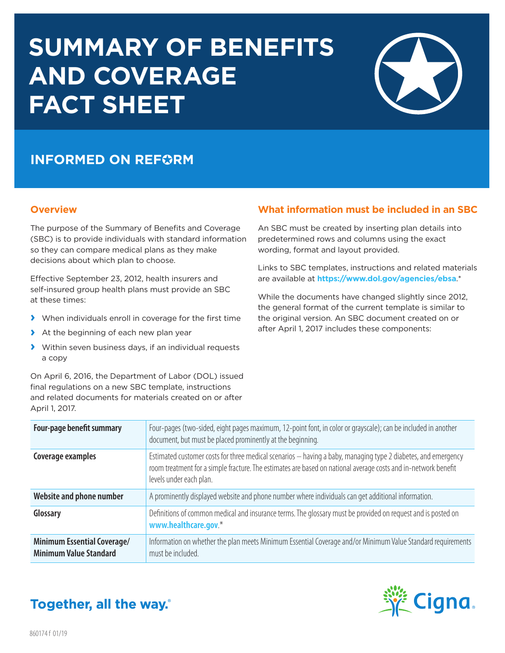# **SUMMARY OF BENEFITS AND COVERAGE FACT SHEET**



## **INFORMED ON REFORM**

### **Overview**

The purpose of the Summary of Benefits and Coverage (SBC) is to provide individuals with standard information so they can compare medical plans as they make decisions about which plan to choose.

Effective September 23, 2012, health insurers and self-insured group health plans must provide an SBC at these times:

- **›** When individuals enroll in coverage for the first time
- **›** At the beginning of each new plan year
- **›** Within seven business days, if an individual requests a copy

On April 6, 2016, the Department of Labor (DOL) issued final regulations on a new SBC template, instructions and related documents for materials created on or after April 1, 2017.

### **What information must be included in an SBC**

An SBC must be created by inserting plan details into predetermined rows and columns using the exact wording, format and layout provided.

Links to SBC templates, instructions and related materials are available at **[https://www.dol.gov/agencies/ebsa](https://www.dol.gov/agencies/ebsa/laws-and-regulations/laws/affordable-care-act/for-employers-and-advisers/summary-of-benefits)**.\*

While the documents have changed slightly since 2012, the general format of the current template is similar to the original version. An SBC document created on or after April 1, 2017 includes these components:

| <b>Four-page benefit summary</b>                                    | Four-pages (two-sided, eight pages maximum, 12-point font, in color or grayscale); can be included in another<br>document, but must be placed prominently at the beginning.                                                                                |
|---------------------------------------------------------------------|------------------------------------------------------------------------------------------------------------------------------------------------------------------------------------------------------------------------------------------------------------|
| Coverage examples                                                   | Estimated customer costs for three medical scenarios - having a baby, managing type 2 diabetes, and emergency<br>room treatment for a simple fracture. The estimates are based on national average costs and in-network benefit<br>levels under each plan. |
| Website and phone number                                            | A prominently displayed website and phone number where individuals can get additional information.                                                                                                                                                         |
| Glossary                                                            | Definitions of common medical and insurance terms. The glossary must be provided on request and is posted on<br>www.healthcare.gov.*                                                                                                                       |
| <b>Minimum Essential Coverage/</b><br><b>Minimum Value Standard</b> | Information on whether the plan meets Minimum Essential Coverage and/or Minimum Value Standard requirements<br>must be included.                                                                                                                           |



# Together, all the way.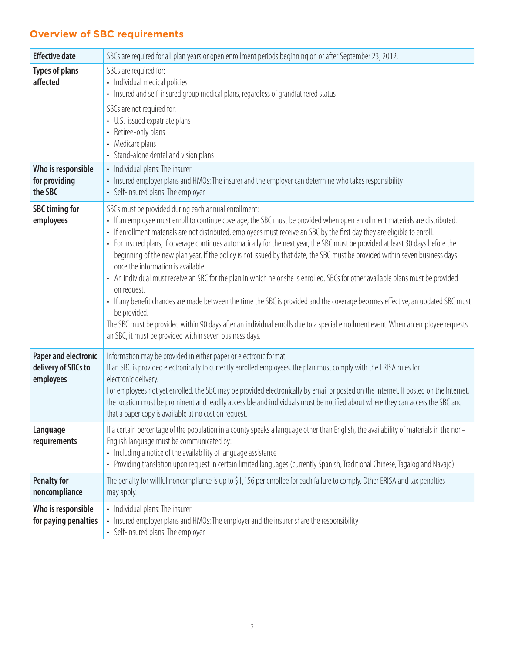### **Overview of SBC requirements**

| <b>Effective date</b>                                           | SBCs are required for all plan years or open enrollment periods beginning on or after September 23, 2012.                                                                                                                                                                                                                                                                                                                                                                                                                                                                                                                                                                                                                                                                                                                                                                                                                                                                                                                                                                                                                      |
|-----------------------------------------------------------------|--------------------------------------------------------------------------------------------------------------------------------------------------------------------------------------------------------------------------------------------------------------------------------------------------------------------------------------------------------------------------------------------------------------------------------------------------------------------------------------------------------------------------------------------------------------------------------------------------------------------------------------------------------------------------------------------------------------------------------------------------------------------------------------------------------------------------------------------------------------------------------------------------------------------------------------------------------------------------------------------------------------------------------------------------------------------------------------------------------------------------------|
| <b>Types of plans</b><br>affected                               | SBCs are required for:<br>• Individual medical policies<br>• Insured and self-insured group medical plans, regardless of grandfathered status<br>SBCs are not required for:<br>• U.S.-issued expatriate plans<br>Retiree-only plans<br>$\bullet$<br>Medicare plans<br>• Stand-alone dental and vision plans                                                                                                                                                                                                                                                                                                                                                                                                                                                                                                                                                                                                                                                                                                                                                                                                                    |
| Who is responsible<br>for providing<br>the SBC                  | • Individual plans: The insurer<br>Insured employer plans and HMOs: The insurer and the employer can determine who takes responsibility<br>• Self-insured plans: The employer                                                                                                                                                                                                                                                                                                                                                                                                                                                                                                                                                                                                                                                                                                                                                                                                                                                                                                                                                  |
| <b>SBC timing for</b><br>employees                              | SBCs must be provided during each annual enrollment:<br>• If an employee must enroll to continue coverage, the SBC must be provided when open enrollment materials are distributed.<br>If enrollment materials are not distributed, employees must receive an SBC by the first day they are eligible to enroll.<br>• For insured plans, if coverage continues automatically for the next year, the SBC must be provided at least 30 days before the<br>beginning of the new plan year. If the policy is not issued by that date, the SBC must be provided within seven business days<br>once the information is available.<br>• An individual must receive an SBC for the plan in which he or she is enrolled. SBCs for other available plans must be provided<br>on request.<br>• If any benefit changes are made between the time the SBC is provided and the coverage becomes effective, an updated SBC must<br>be provided.<br>The SBC must be provided within 90 days after an individual enrolls due to a special enrollment event. When an employee requests<br>an SBC, it must be provided within seven business days. |
| <b>Paper and electronic</b><br>delivery of SBCs to<br>employees | Information may be provided in either paper or electronic format.<br>If an SBC is provided electronically to currently enrolled employees, the plan must comply with the ERISA rules for<br>electronic delivery.<br>For employees not yet enrolled, the SBC may be provided electronically by email or posted on the Internet. If posted on the Internet,<br>the location must be prominent and readily accessible and individuals must be notified about where they can access the SBC and<br>that a paper copy is available at no cost on request.                                                                                                                                                                                                                                                                                                                                                                                                                                                                                                                                                                           |
| Language<br>requirements                                        | If a certain percentage of the population in a county speaks a language other than English, the availability of materials in the non-<br>English language must be communicated by:<br>• Including a notice of the availability of language assistance<br>Providing translation upon request in certain limited languages (currently Spanish, Traditional Chinese, Tagalog and Navajo)<br>$\bullet$                                                                                                                                                                                                                                                                                                                                                                                                                                                                                                                                                                                                                                                                                                                             |
| <b>Penalty for</b><br>noncompliance                             | The penalty for willful noncompliance is up to \$1,156 per enrollee for each failure to comply. Other ERISA and tax penalties<br>may apply.                                                                                                                                                                                                                                                                                                                                                                                                                                                                                                                                                                                                                                                                                                                                                                                                                                                                                                                                                                                    |
| Who is responsible<br>for paying penalties                      | • Individual plans: The insurer<br>Insured employer plans and HMOs: The employer and the insurer share the responsibility<br>Self-insured plans: The employer<br>$\bullet$                                                                                                                                                                                                                                                                                                                                                                                                                                                                                                                                                                                                                                                                                                                                                                                                                                                                                                                                                     |